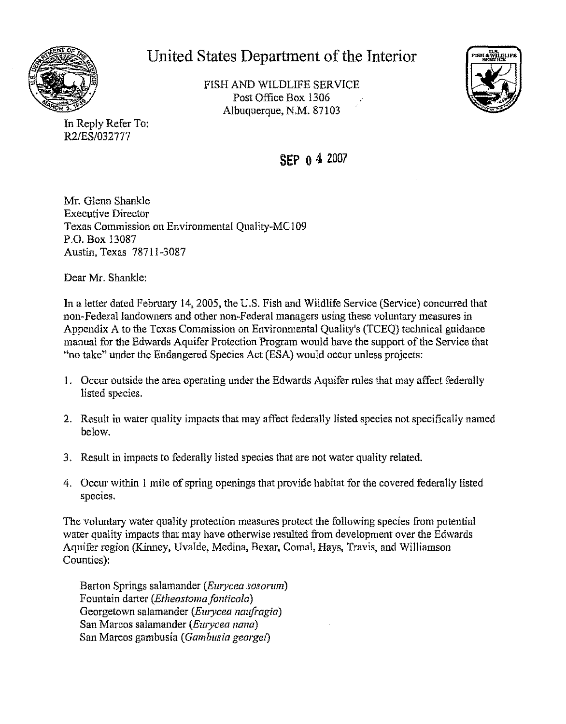

## United States Department of the Interior

FISH AND WILDLIFE SERVICE Post Office Box 1306 Albuquerque, N.M. 87103



In Reply Refer To: R2/ES/032777

**SEP o4** <sup>2007</sup>

Mr. Glenn Shankle Executive Director Texas Commission on Environmental Quality-MC109 P.O. Box 13087 Austin, Texas 78711-3087

Dear Mr. Shankle:

In a letter dated February 14, 2005, the U.S. Fish and Wildlife Service (Service) concurred that non-Federal landowners and other non-Federal managers using these voluntary measures in Appendix A to the Texas Commission on Environmental Quality's (TCEQ) technical guidance manual for the Edwards Aquifer Protection Program would have the support ofthe Service that "no take" under the Endangered Species Act (ESA) would occur unless projects:

- 1. Occur outside the area operating under the Edwards Aquifer rules that may affect federally listed species.
- 2. Result in water quality impacts that may affect federally listed species not specifically named below.
- 3. Result in impacts to federally listed species that are not water quality related.
- 4. Occur within 1 mile of spring openings that provide habitat for the covered federally listed species.

The voluntary water quality protection measures protect the following species from potential water quality impacts that may have otherwise resulted from development over the Edwards Aquifer region (Kinney, Uvalde, Medina, Bexar, Comal, Hays, Travis, and Williamson Counties):

Barton Springs salamander *(Eurycea sosorum)*  Fountain darter *(Etheo.stoma fonticola)*  Georgetown salamander *(Ewycea naufragia)*  San Marcos salamander *(Eurycea nana)*  San Marcos gambusia *(Gambusia georgei)*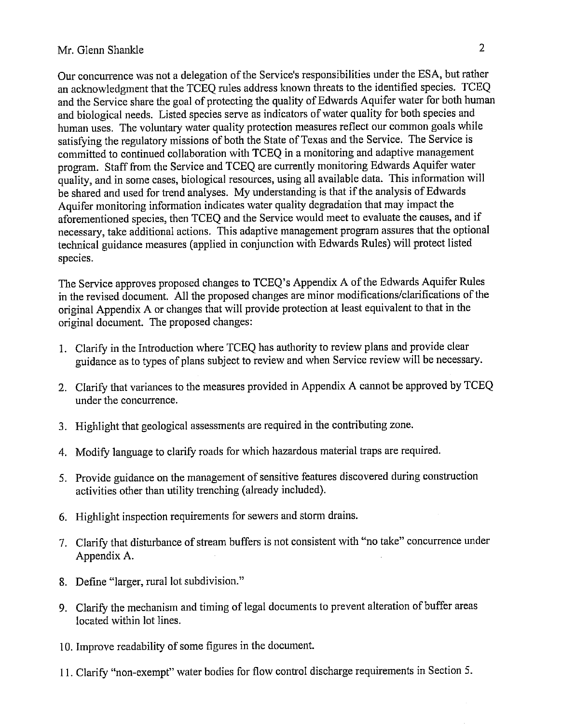## Mr. Glenn Shankle 2

Our concurrence was not a delegation of the Service's responsibilities under the ESA, but rather an acknowledgment that the TCEQ rules address known threats to the identified species. TCEQ and the Service share the goal of protecting the quality of Edwards Aquifer water for both human and biological needs. Listed species serve as indicators of water quality for both species and human uses. The voluntary water quality protection measures reflect our common goals while satisfying the regulatory missions of both the State of Texas and the Service. The Service is committed to continued collaboration with TCEQ in a monitoring and adaptive management program. Staff from the Service and TCEQ are currently monitoring Edwards Aquifer water quality, and in some cases, biological resources, using all available data. This information will be shared and used for trend analyses. My understanding is that if the analysis of Edwards Aquifer monitoring information indicates water quality degradation that may impact the aforementioned species, then TCEQ and the Service would meet to evaluate the causes, and if necessary, take additional actions. This adaptive management program assures that the optional technical guidance measures (applied in conjunction with Edwards Rules) will protect listed species.

The Service approves proposed changes to TCEQ's Appendix A of the Edwards Aquifer Rules in the revised document. All the proposed changes are minor modifications/clarifications of the original Appendix A or changes that will provide protection at least equivalent to that in the original document. The proposed changes:

- 1. Clarify in the Introduction where TCEQ has authority to review plans and provide clear guidance as to types of plans subject to review and when Service review will be necessary.
- 2. Clarify that variances to the measures provided in Appendix A cannot be approved by TCEQ under the concurrence.
- 3. Highlight that geological assessments are required in the contributing zone.
- 4. Modify language to clarify roads for which hazardous material traps are required.
- 5. Provide guidance on the management of sensitive features discovered during construction activities other than utility trenching (already included).
- 6. Highlight inspection requirements for sewers and storm drains.
- 7. Clarify that disturbance of stream buffers is not consistent with "no take" concurrence under Appendix A.
- 8. Define "larger, rural lot subdivision."
- 9. Clarify the mechanism and timing of legal documents to prevent alteration of buffer areas located within lot lines.
- 10. Improve readability of some figures in the document.
- 11. Clarify "non-exempt" water bodies for flow control discharge requirements in Section 5.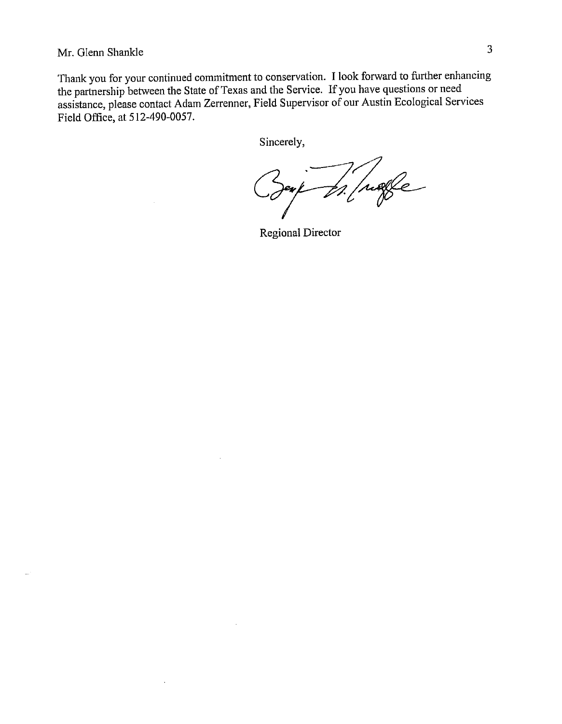Mr. Glenn Shankle 3

Thank you for your continued commitment to conservation. I look forward to further enhancing the partnership between the State of Texas and the Service. If you have questions or need assistance, please contact Adam Zerrenner, Field Supervisor of our Austin Ecological Services Field Office, at 512-490-0057.

Sincerely,

Ingle es

Regional Director